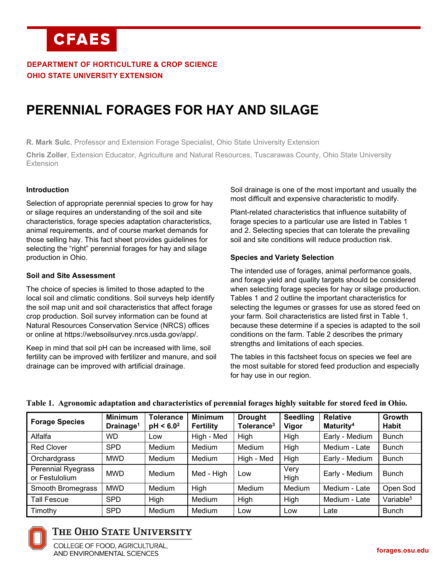# **CFAES**

#### **DEPARTMENT OF HORTICULTURE & CROP SCIENCE OHIO STATE UNIVERSITY EXTENSION**

## **PERENNIAL FORAGES FOR HAY AND SILAGE**

**R. Mark Sulc**, Professor and Extension Forage Specialist, Ohio State University Extension

**Chris Zoller**, Extension Educator, Agriculture and Natural Resources, Tuscarawas County, Ohio State University Extension

#### **Introduction**

Selection of appropriate perennial species to grow for hay or silage requires an understanding of the soil and site characteristics, forage species adaptation characteristics, animal requirements, and of course market demands for those selling hay. This fact sheet provides guidelines for selecting the "right" perennial forages for hay and silage production in Ohio.

#### **Soil and Site Assessment**

The choice of species is limited to those adapted to the local soil and climatic conditions. Soil surveys help identify the soil map unit and soil characteristics that affect forage crop production. Soil survey information can be found at Natural Resources Conservation Service (NRCS) offices or online at https://websoilsurvey.nrcs.usda.gov/app/.

Keep in mind that soil pH can be increased with lime, soil fertility can be improved with fertilizer and manure, and soil drainage can be improved with artificial drainage.

Soil drainage is one of the most important and usually the most difficult and expensive characteristic to modify.

Plant-related characteristics that influence suitability of forage species to a particular use are listed in Tables 1 and 2. Selecting species that can tolerate the prevailing soil and site conditions will reduce production risk.

#### **Species and Variety Selection**

The intended use of forages, animal performance goals, and forage yield and quality targets should be considered when selecting forage species for hay or silage production. Tables 1 and 2 outline the important characteristics for selecting the legumes or grasses for use as stored feed on your farm. Soil characteristics are listed first in Table 1, because these determine if a species is adapted to the soil conditions on the farm. Table 2 describes the primary strengths and limitations of each species.

The tables in this factsheet focus on species we feel are the most suitable for stored feed production and especially for hay use in our region.

| <b>Forage Species</b>                       | <b>Minimum</b><br>Drainage <sup>1</sup> | <b>Tolerance</b><br>$pH < 6.0^2$ | <b>Minimum</b><br><b>Fertility</b> | <b>Drought</b><br>Tolerance <sup>3</sup> | <b>Seedling</b><br>Vigor | <b>Relative</b><br>Maturity <sup>4</sup> | Growth<br><b>Habit</b> |
|---------------------------------------------|-----------------------------------------|----------------------------------|------------------------------------|------------------------------------------|--------------------------|------------------------------------------|------------------------|
| Alfalfa                                     | <b>WD</b>                               | Low                              | High - Med                         | High                                     | High                     | Early - Medium                           | <b>Bunch</b>           |
| <b>Red Clover</b>                           | <b>SPD</b>                              | Medium                           | <b>Medium</b>                      | <b>Medium</b>                            | High                     | Medium - Late                            | <b>Bunch</b>           |
| Orchardgrass                                | <b>MWD</b>                              | Medium                           | Medium                             | High - Med                               | High                     | Early - Medium                           | <b>Bunch</b>           |
| <b>Perennial Ryegrass</b><br>or Festulolium | <b>MWD</b>                              | Medium                           | Med - High                         | Low                                      | Very<br>High             | Early - Medium                           | <b>Bunch</b>           |
| Smooth Bromegrass                           | <b>MWD</b>                              | Medium                           | High                               | <b>Medium</b>                            | Medium                   | Medium - Late                            | Open Sod               |
| Tall Fescue                                 | <b>SPD</b>                              | High                             | <b>Medium</b>                      | High                                     | High                     | Medium - Late                            | Variable <sup>5</sup>  |
| Timothy                                     | <b>SPD</b>                              | Medium                           | Medium                             | Low                                      | Low                      | Late                                     | <b>Bunch</b>           |

#### **Table 1. Agronomic adaptation and characteristics of perennial forages highly suitable for stored feed in Ohio.**



### THE OHIO STATE UNIVERSITY

COLLEGE OF FOOD, AGRICULTURAL, AND ENVIRONMENTAL SCIENCES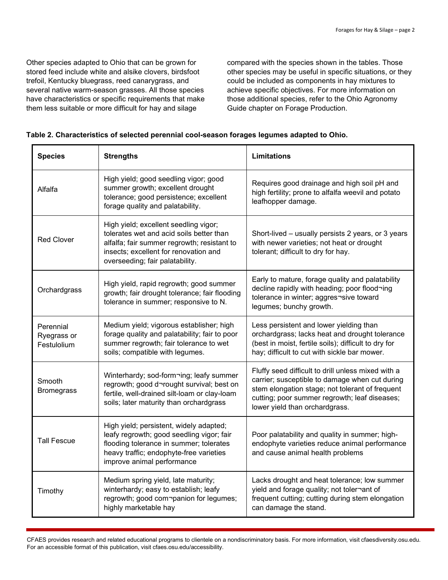Other species adapted to Ohio that can be grown for stored feed include white and alsike clovers, birdsfoot trefoil, Kentucky bluegrass, reed canarygrass, and several native warm-season grasses. All those species have characteristics or specific requirements that make them less suitable or more difficult for hay and silage

compared with the species shown in the tables. Those other species may be useful in specific situations, or they could be included as components in hay mixtures to achieve specific objectives. For more information on those additional species, refer to the Ohio Agronomy Guide chapter on Forage Production.

|  | Table 2. Characteristics of selected perennial cool-season forages legumes adapted to Ohio. |
|--|---------------------------------------------------------------------------------------------|
|--|---------------------------------------------------------------------------------------------|

| <b>Species</b>                          | <b>Strengths</b>                                                                                                                                                                                             | <b>Limitations</b>                                                                                                                                                                                                                         |  |
|-----------------------------------------|--------------------------------------------------------------------------------------------------------------------------------------------------------------------------------------------------------------|--------------------------------------------------------------------------------------------------------------------------------------------------------------------------------------------------------------------------------------------|--|
| Alfalfa                                 | High yield; good seedling vigor; good<br>summer growth; excellent drought<br>tolerance; good persistence; excellent<br>forage quality and palatability.                                                      | Requires good drainage and high soil pH and<br>high fertility; prone to alfalfa weevil and potato<br>leafhopper damage.                                                                                                                    |  |
| <b>Red Clover</b>                       | High yield; excellent seedling vigor;<br>tolerates wet and acid soils better than<br>alfalfa; fair summer regrowth; resistant to<br>insects; excellent for renovation and<br>overseeding; fair palatability. | Short-lived - usually persists 2 years, or 3 years<br>with newer varieties; not heat or drought<br>tolerant; difficult to dry for hay.                                                                                                     |  |
| Orchardgrass                            | High yield, rapid regrowth; good summer<br>growth; fair drought tolerance; fair flooding<br>tolerance in summer; responsive to N.                                                                            | Early to mature, forage quality and palatability<br>decline rapidly with heading; poor flood¬ing<br>tolerance in winter; aggres¬sive toward<br>legumes; bunchy growth.                                                                     |  |
| Perennial<br>Ryegrass or<br>Festulolium | Medium yield; vigorous establisher; high<br>forage quality and palatability; fair to poor<br>summer regrowth; fair tolerance to wet<br>soils; compatible with legumes.                                       | Less persistent and lower yielding than<br>orchardgrass; lacks heat and drought tolerance<br>(best in moist, fertile soils); difficult to dry for<br>hay; difficult to cut with sickle bar mower.                                          |  |
| Smooth<br><b>Bromegrass</b>             | Winterhardy; sod-form¬ing; leafy summer<br>regrowth; good d¬rought survival; best on<br>fertile, well-drained silt-loam or clay-loam<br>soils; later maturity than orchardgrass                              | Fluffy seed difficult to drill unless mixed with a<br>carrier; susceptible to damage when cut during<br>stem elongation stage; not tolerant of frequent<br>cutting; poor summer regrowth; leaf diseases;<br>lower yield than orchardgrass. |  |
| <b>Tall Fescue</b>                      | High yield; persistent, widely adapted;<br>leafy regrowth; good seedling vigor; fair<br>flooding tolerance in summer; tolerates<br>heavy traffic; endophyte-free varieties<br>improve animal performance     | Poor palatability and quality in summer; high-<br>endophyte varieties reduce animal performance<br>and cause animal health problems                                                                                                        |  |
| Timothy                                 | Medium spring yield, late maturity;<br>winterhardy; easy to establish; leafy<br>regrowth; good com-panion for legumes;<br>highly marketable hay                                                              | Lacks drought and heat tolerance; low summer<br>yield and forage quality; not toler¬ant of<br>frequent cutting; cutting during stem elongation<br>can damage the stand.                                                                    |  |

CFAES provides research and related educational programs to clientele on a nondiscriminatory basis. For more information, visit cfaesdiversity.osu.edu. For an accessible format of this publication, visit cfaes.osu.edu/accessibility.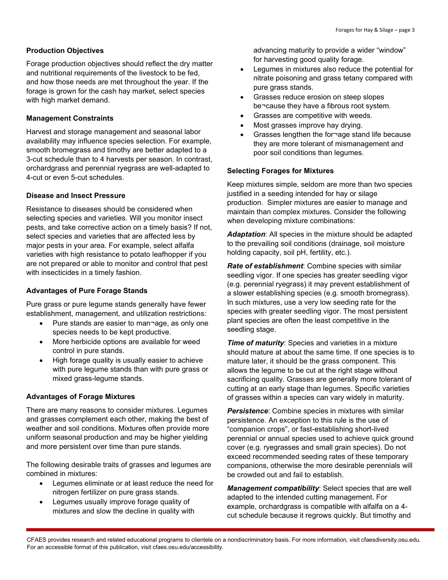#### **Production Objectives**

Forage production objectives should reflect the dry matter and nutritional requirements of the livestock to be fed, and how those needs are met throughout the year. If the forage is grown for the cash hay market, select species with high market demand.

#### **Management Constraints**

Harvest and storage management and seasonal labor availability may influence species selection. For example, smooth bromegrass and timothy are better adapted to a 3-cut schedule than to 4 harvests per season. In contrast, orchardgrass and perennial ryegrass are well-adapted to 4-cut or even 5-cut schedules.

#### **Disease and Insect Pressure**

Resistance to diseases should be considered when selecting species and varieties. Will you monitor insect pests, and take corrective action on a timely basis? If not, select species and varieties that are affected less by major pests in your area. For example, select alfalfa varieties with high resistance to potato leafhopper if you are not prepared or able to monitor and control that pest with insecticides in a timely fashion.

#### **Advantages of Pure Forage Stands**

Pure grass or pure legume stands generally have fewer establishment, management, and utilization restrictions:

- Pure stands are easier to man¬age, as only one species needs to be kept productive.
- More herbicide options are available for weed control in pure stands.
- High forage quality is usually easier to achieve with pure legume stands than with pure grass or mixed grass-legume stands.

#### **Advantages of Forage Mixtures**

There are many reasons to consider mixtures. Legumes and grasses complement each other, making the best of weather and soil conditions. Mixtures often provide more uniform seasonal production and may be higher yielding and more persistent over time than pure stands.

The following desirable traits of grasses and legumes are combined in mixtures:

- Legumes eliminate or at least reduce the need for nitrogen fertilizer on pure grass stands.
- Legumes usually improve forage quality of mixtures and slow the decline in quality with

advancing maturity to provide a wider "window" for harvesting good quality forage.

- Legumes in mixtures also reduce the potential for nitrate poisoning and grass tetany compared with pure grass stands.
- Grasses reduce erosion on steep slopes be¬cause they have a fibrous root system.
- Grasses are competitive with weeds.
- Most grasses improve hay drying.
- Grasses lengthen the for¬age stand life because they are more tolerant of mismanagement and poor soil conditions than legumes.

#### **Selecting Forages for Mixtures**

Keep mixtures simple, seldom are more than two species justified in a seeding intended for hay or silage production. Simpler mixtures are easier to manage and maintain than complex mixtures. Consider the following when developing mixture combinations:

*Adaptation*: All species in the mixture should be adapted to the prevailing soil conditions (drainage, soil moisture holding capacity, soil pH, fertility, etc.).

*Rate of establishment*: Combine species with similar seedling vigor. If one species has greater seedling vigor (e.g. perennial ryegrass) it may prevent establishment of a slower establishing species (e.g. smooth bromegrass). In such mixtures, use a very low seeding rate for the species with greater seedling vigor. The most persistent plant species are often the least competitive in the seedling stage.

*Time of maturity*: Species and varieties in a mixture should mature at about the same time. If one species is to mature later, it should be the grass component. This allows the legume to be cut at the right stage without sacrificing quality. Grasses are generally more tolerant of cutting at an early stage than legumes. Specific varieties of grasses within a species can vary widely in maturity.

*Persistence*: Combine species in mixtures with similar persistence. An exception to this rule is the use of "companion crops", or fast-establishing short-lived perennial or annual species used to achieve quick ground cover (e.g. ryegrasses and small grain species). Do not exceed recommended seeding rates of these temporary companions, otherwise the more desirable perennials will be crowded out and fail to establish.

*Management compatibility*: Select species that are well adapted to the intended cutting management. For example, orchardgrass is compatible with alfalfa on a 4 cut schedule because it regrows quickly. But timothy and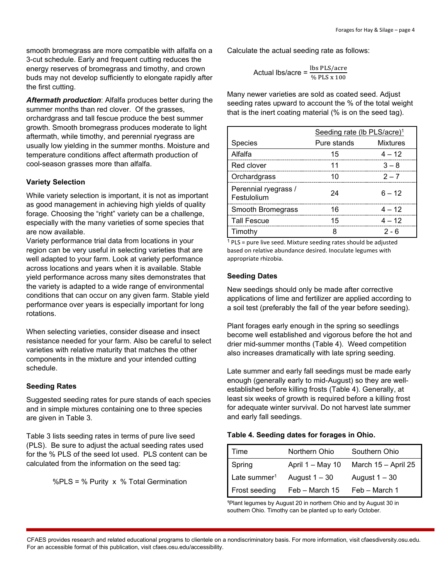smooth bromegrass are more compatible with alfalfa on a 3-cut schedule. Early and frequent cutting reduces the energy reserves of bromegrass and timothy, and crown buds may not develop sufficiently to elongate rapidly after the first cutting.

*Aftermath production*: Alfalfa produces better during the summer months than red clover. Of the grasses, orchardgrass and tall fescue produce the best summer growth. Smooth bromegrass produces moderate to light aftermath, while timothy, and perennial ryegrass are usually low yielding in the summer months. Moisture and temperature conditions affect aftermath production of cool-season grasses more than alfalfa.

#### **Variety Selection**

While variety selection is important, it is not as important as good management in achieving high yields of quality forage. Choosing the "right" variety can be a challenge, especially with the many varieties of some species that are now available.

Variety performance trial data from locations in your region can be very useful in selecting varieties that are well adapted to your farm. Look at variety performance across locations and years when it is available. Stable yield performance across many sites demonstrates that the variety is adapted to a wide range of environmental conditions that can occur on any given farm. Stable yield performance over years is especially important for long rotations.

When selecting varieties, consider disease and insect resistance needed for your farm. Also be careful to select varieties with relative maturity that matches the other components in the mixture and your intended cutting schedule.

#### **Seeding Rates**

Suggested seeding rates for pure stands of each species and in simple mixtures containing one to three species are given in Table 3.

Table 3 lists seeding rates in terms of pure live seed (PLS). Be sure to adjust the actual seeding rates used for the % PLS of the seed lot used. PLS content can be calculated from the information on the seed tag:

$$
^{\circ}
$$
 PLS =  $^{\circ}$  Purity x  $^{\circ}$  Total Germanation

Calculate the actual seeding rate as follows:

$$
Actual \text{ lbs/acre} = \frac{\text{ lbs } \text{PLS/acre}}{\% \text{ PLS } x \text{ 100}}
$$

Many newer varieties are sold as coated seed. Adjust seeding rates upward to account the % of the total weight that is the inert coating material (% is on the seed tag).

|                                     | Seeding rate (lb PLS/acre) <sup>1</sup> |                 |
|-------------------------------------|-----------------------------------------|-----------------|
| <b>Species</b>                      | Pure stands                             | <b>Mixtures</b> |
| Alfalfa                             | 15                                      | $4 - 12$        |
| Red clover                          | 11                                      | $3 - 8$         |
| Orchardgrass                        | 10                                      | $2 - 7$         |
| Perennial ryegrass /<br>Festulolium | 24                                      | $6 - 12$        |
| Smooth Bromegrass                   | 16                                      | $4 - 12$        |
| <b>Tall Fescue</b>                  | 15                                      | $4 - 12$        |
| Timothy                             |                                         | $2 - 6$         |

 $1$  PLS = pure live seed. Mixture seeding rates should be adjusted based on relative abundance desired. Inoculate legumes with appropriate rhizobia.

#### **Seeding Dates**

New seedings should only be made after corrective applications of lime and fertilizer are applied according to a soil test (preferably the fall of the year before seeding).

Plant forages early enough in the spring so seedlings become well established and vigorous before the hot and drier mid-summer months (Table 4). Weed competition also increases dramatically with late spring seeding.

Late summer and early fall seedings must be made early enough (generally early to mid-August) so they are wellestablished before killing frosts (Table 4). Generally, at least six weeks of growth is required before a killing frost for adequate winter survival. Do not harvest late summer and early fall seedings.

#### **Table 4. Seeding dates for forages in Ohio.**

| Time                     | Northern Ohio      | Southern Ohio       |
|--------------------------|--------------------|---------------------|
| Spring                   | April $1 - May 10$ | March 15 - April 25 |
| Late summer <sup>1</sup> | August $1 - 30$    | August $1 - 30$     |
| Frost seeding            | Feb – March 15     | Feb – March 1       |

**1** Plant legumes by August 20 in northern Ohio and by August 30 in southern Ohio. Timothy can be planted up to early October.

CFAES provides research and related educational programs to clientele on a nondiscriminatory basis. For more information, visit cfaesdiversity.osu.edu. For an accessible format of this publication, visit cfaes.osu.edu/accessibility.